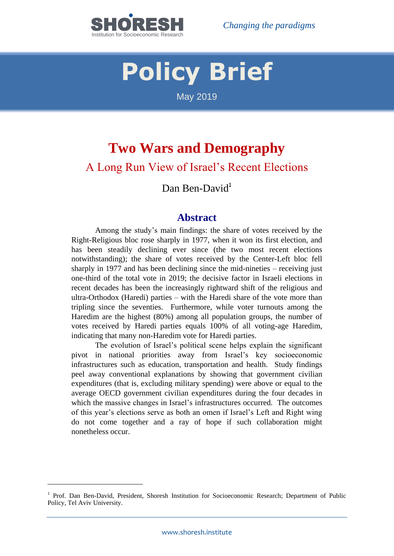

# **Policy Brief**

May 2019

# **Two Wars and Demography**

# A Long Run View of Israel's Recent Elections

# Dan Ben-David<sup>1</sup>

## **Abstract**

Among the study's main findings: the share of votes received by the Right-Religious bloc rose sharply in 1977, when it won its first election, and has been steadily declining ever since (the two most recent elections notwithstanding); the share of votes received by the Center-Left bloc fell sharply in 1977 and has been declining since the mid-nineties – receiving just one-third of the total vote in 2019; the decisive factor in Israeli elections in recent decades has been the increasingly rightward shift of the religious and ultra-Orthodox (Haredi) parties – with the Haredi share of the vote more than tripling since the seventies. Furthermore, while voter turnouts among the Haredim are the highest (80%) among all population groups, the number of votes received by Haredi parties equals 100% of all voting-age Haredim, indicating that many non-Haredim vote for Haredi parties.

The evolution of Israel's political scene helps explain the significant pivot in national priorities away from Israel's key socioeconomic infrastructures such as education, transportation and health. Study findings peel away conventional explanations by showing that government civilian expenditures (that is, excluding military spending) were above or equal to the average OECD government civilian expenditures during the four decades in which the massive changes in Israel's infrastructures occurred. The outcomes of this year's elections serve as both an omen if Israel's Left and Right wing do not come together and a ray of hope if such collaboration might nonetheless occur.

1

<sup>&</sup>lt;sup>1</sup> Prof. Dan Ben-David, President, Shoresh Institution for Socioeconomic Research; Department of Public Policy, Tel Aviv University.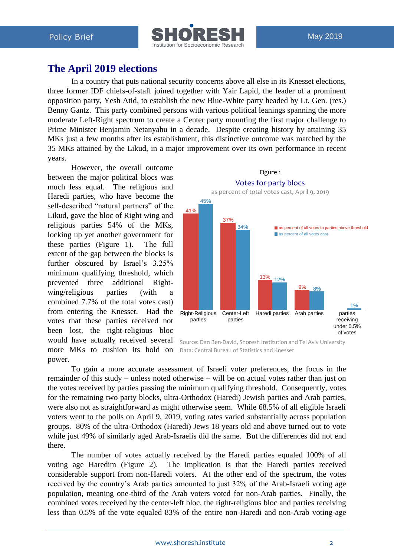

# **The April 2019 elections**

In a country that puts national security concerns above all else in its Knesset elections, three former IDF chiefs-of-staff joined together with Yair Lapid, the leader of a prominent opposition party, Yesh Atid, to establish the new Blue-White party headed by Lt. Gen. (res.) Benny Gantz. This party combined persons with various political leanings spanning the more moderate Left-Right spectrum to create a Center party mounting the first major challenge to Prime Minister Benjamin Netanyahu in a decade. Despite creating history by attaining 35 MKs just a few months after its establishment, this distinctive outcome was matched by the 35 MKs attained by the Likud, in a major improvement over its own performance in recent years.

However, the overall outcome between the major political blocs was much less equal. The religious and Haredi parties, who have become the self-described "natural partners" of the Likud, gave the bloc of Right wing and religious parties 54% of the MKs, locking up yet another government for these parties (Figure 1). The full extent of the gap between the blocks is further obscured by Israel's 3.25% minimum qualifying threshold, which prevented three additional Rightwing/religious parties (with a combined 7.7% of the total votes cast) from entering the Knesset. Had the votes that these parties received not been lost, the right-religious bloc would have actually received several more MKs to cushion its hold on power.



Source: Dan Ben-David, Shoresh Institution and Tel Aviv University Data: Central Bureau of Statistics and Knesset

To gain a more accurate assessment of Israeli voter preferences, the focus in the remainder of this study – unless noted otherwise – will be on actual votes rather than just on the votes received by parties passing the minimum qualifying threshold. Consequently, votes for the remaining two party blocks, ultra-Orthodox (Haredi) Jewish parties and Arab parties, were also not as straightforward as might otherwise seem. While 68.5% of all eligible Israeli voters went to the polls on April 9, 2019, voting rates varied substantially across population groups. 80% of the ultra-Orthodox (Haredi) Jews 18 years old and above turned out to vote while just 49% of similarly aged Arab-Israelis did the same. But the differences did not end there. Likud, gave the bloc of Right wing and<br>
religious particles S4% of the MKs,<br>
the particles particles (Figure 1). The full than  $\frac{33\%}{1000}$  and the vote equality in the standard of the voltage and<br>
minimum qualitying t

The number of votes actually received by the Haredi parties equaled 100% of all voting age Haredim (Figure 2). The implication is that the Haredi parties received considerable support from non-Haredi voters. At the other end of the spectrum, the votes received by the country's Arab parties amounted to just 32% of the Arab-Israeli voting age population, meaning one-third of the Arab voters voted for non-Arab parties. Finally, the combined votes received by the center-left bloc, the right-religious bloc and parties receiving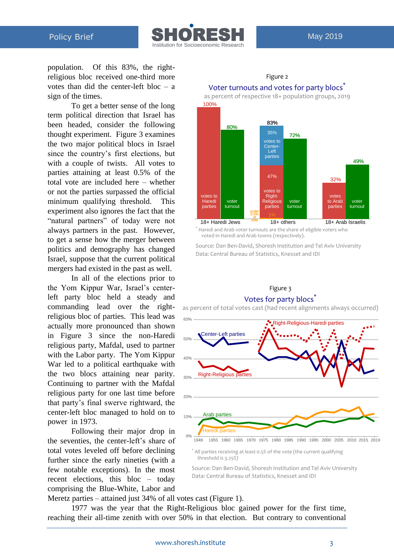

population. Of this 83%, the rightreligious bloc received one-third more votes than did the center-left bloc – a sign of the times.

To get a better sense of the long term political direction that Israel has been headed, consider the following thought experiment. Figure 3 examines the two major political blocs in Israel since the country's first elections, but with a couple of twists. All votes to parties attaining at least 0.5% of the total vote are included here – whether or not the parties surpassed the official minimum qualifying threshold. This experiment also ignores the fact that the "natural partners" of today were not always partners in the past. However, to get a sense how the merger between politics and demography has changed Israel, suppose that the current political mergers had existed in the past as well.

In all of the elections prior to the Yom Kippur War, Israel's centerleft party bloc held a steady and commanding lead over the rightreligious bloc of parties. This lead was actually more pronounced than shown in Figure 3 since the non-Haredi religious party, Mafdal, used to partner with the Labor party. The Yom Kippur War led to a political earthquake with the two blocs attaining near parity. Continuing to partner with the Mafdal religious party for one last time before that party's final swerve rightward, the center-left bloc managed to hold on to power in 1973.

Following their major drop in the seventies, the center-left's share of total votes leveled off before declining further since the early nineties (with a few notable exceptions). In the most recent elections, this bloc – today comprising the Blue-White, Labor and



# Figure 2 Voter turnouts and votes for party blocs<sup>®</sup>

voted in Haredi and Arab towns (respectively).

Source: Dan Ben-David, Shoresh Institution and Tel Aviv University Data: Central Bureau of Statistics, Knesset and IDI

#### Figure 3 Votes for party blocs<sup>\*</sup>

as percent of total votes cast (had recent alignments always occurred)



Source: Dan Ben-David, Shoresh Institution and Tel Aviv University Data: Central Bureau of Statistics, Knesset and IDI

Meretz parties – attained just 34% of all votes cast (Figure 1).

1977 was the year that the Right-Religious bloc gained power for the first time, reaching their all-time zenith with over 50% in that election. But contrary to conventional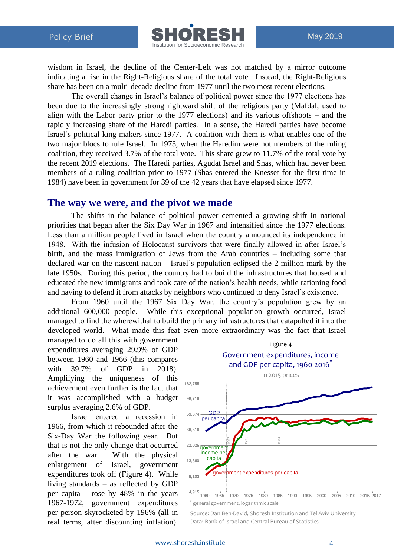

wisdom in Israel, the decline of the Center-Left was not matched by a mirror outcome indicating a rise in the Right-Religious share of the total vote. Instead, the Right-Religious share has been on a multi-decade decline from 1977 until the two most recent elections.

The overall change in Israel's balance of political power since the 1977 elections has been due to the increasingly strong rightward shift of the religious party (Mafdal, used to align with the Labor party prior to the 1977 elections) and its various offshoots – and the rapidly increasing share of the Haredi parties. In a sense, the Haredi parties have become Israel's political king-makers since 1977. A coalition with them is what enables one of the two major blocs to rule Israel. In 1973, when the Haredim were not members of the ruling coalition, they received 3.7% of the total vote. This share grew to 11.7% of the total vote by the recent 2019 elections. The Haredi parties, Agudat Israel and Shas, which had never been members of a ruling coalition prior to 1977 (Shas entered the Knesset for the first time in 1984) have been in government for 39 of the 42 years that have elapsed since 1977.

#### **The way we were, and the pivot we made**

The shifts in the balance of political power cemented a growing shift in national priorities that began after the Six Day War in 1967 and intensified since the 1977 elections. Less than a million people lived in Israel when the country announced its independence in 1948. With the infusion of Holocaust survivors that were finally allowed in after Israel's birth, and the mass immigration of Jews from the Arab countries – including some that declared war on the nascent nation – Israel's population eclipsed the 2 million mark by the late 1950s. During this period, the country had to build the infrastructures that housed and educated the new immigrants and took care of the nation's health needs, while rationing food and having to defend it from attacks by neighbors who continued to deny Israel's existence.

From 1960 until the 1967 Six Day War, the country's population grew by an additional 600,000 people. While this exceptional population growth occurred, Israel managed to find the wherewithal to build the primary infrastructures that catapulted it into the developed world. What made this feat even more extraordinary was the fact that Israel

managed to do all this with government expenditures averaging 29.9% of GDP between 1960 and 1966 (this compares with 39.7% of GDP in 2018). Amplifying the uniqueness of this achievement even further is the fact that it was accomplished with a budget surplus averaging 2.6% of GDP.

Israel entered a recession in 1966, from which it rebounded after the Six-Day War the following year. But that is not the only change that occurred after the war. With the physical enlargement of Israel, government expenditures took off (Figure 4). While living standards – as reflected by GDP per capita – rose by 48% in the years 1967-1972, government expenditures per person skyrocketed by 196% (all in real terms, after discounting inflation).



Source: Dan Ben-David, Shoresh Institution and Tel Aviv University Data: Bank of Israel and Central Bureau of Statistics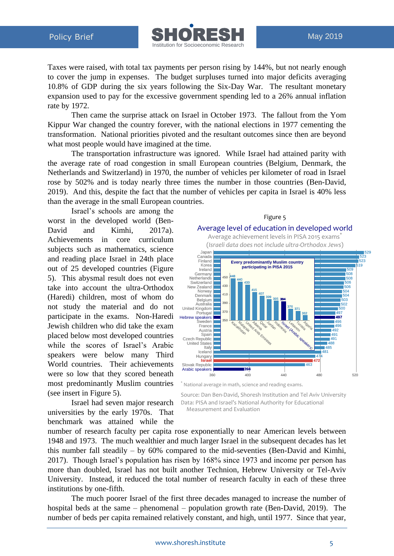

Taxes were raised, with total tax payments per person rising by 144%, but not nearly enough to cover the jump in expenses. The budget surpluses turned into major deficits averaging 10.8% of GDP during the six years following the Six-Day War. The resultant monetary expansion used to pay for the excessive government spending led to a 26% annual inflation rate by 1972.

Then came the surprise attack on Israel in October 1973. The fallout from the Yom Kippur War changed the country forever, with the national elections in 1977 cementing the transformation. National priorities pivoted and the resultant outcomes since then are beyond what most people would have imagined at the time.

The transportation infrastructure was ignored. While Israel had attained parity with the average rate of road congestion in small European countries (Belgium, Denmark, the Netherlands and Switzerland) in 1970, the number of vehicles per kilometer of road in Israel rose by 502% and is today nearly three times the number in those countries (Ben-David, 2019). And this, despite the fact that the number of vehicles per capita in Israel is 40% less than the average in the small European countries.

Israel's schools are among the worst in the developed world (Ben-David and Kimhi, 2017a). Achievements in core curriculum subjects such as mathematics, science and reading place Israel in 24th place out of 25 developed countries (Figure 5). This abysmal result does not even take into account the ultra-Orthodox (Haredi) children, most of whom do not study the material and do not participate in the exams. Non-Haredi Jewish children who did take the exam placed below most developed countries while the scores of Israel's Arabic speakers were below many Third World countries. Their achievements were so low that they scored beneath most predominantly Muslim countries (see insert in Figure 5).

Israel had seven major research universities by the early 1970s. That benchmark was attained while the



Source: Dan Ben-David, Shoresh Institution and Tel Aviv University Data: PISA and Israel's National Authority for Educational

Measurement and Evaluation

number of research faculty per capita rose exponentially to near American levels between 1948 and 1973. The much wealthier and much larger Israel in the subsequent decades has let this number fall steadily – by 60% compared to the mid-seventies (Ben-David and Kimhi, 2017). Though Israel's population has risen by 168% since 1973 and income per person has more than doubled, Israel has not built another Technion, Hebrew University or Tel-Aviv University. Instead, it reduced the total number of research faculty in each of these three institutions by one-fifth.

The much poorer Israel of the first three decades managed to increase the number of hospital beds at the same – phenomenal – population growth rate (Ben-David, 2019). The number of beds per capita remained relatively constant, and high, until 1977. Since that year,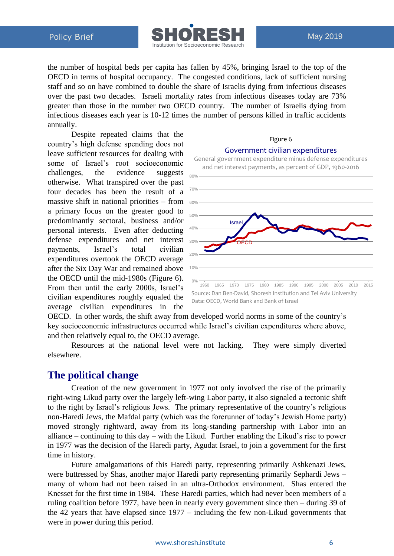

the number of hospital beds per capita has fallen by 45%, bringing Israel to the top of the OECD in terms of hospital occupancy. The congested conditions, lack of sufficient nursing staff and so on have combined to double the share of Israelis dying from infectious diseases over the past two decades. Israeli mortality rates from infectious diseases today are 73% greater than those in the number two OECD country. The number of Israelis dying from infectious diseases each year is 10-12 times the number of persons killed in traffic accidents annually.

Despite repeated claims that the country's high defense spending does not leave sufficient resources for dealing with some of Israel's root socioeconomic challenges, the evidence suggests otherwise. What transpired over the past four decades has been the result of a massive shift in national priorities – from a primary focus on the greater good to predominantly sectoral, business and/or personal interests. Even after deducting defense expenditures and net interest payments, Israel's total civilian expenditures overtook the OECD average after the Six Day War and remained above the OECD until the mid-1980s (Figure 6). From then until the early 2000s, Israel's civilian expenditures roughly equaled the average civilian expenditures in the



Figure 6

OECD. In other words, the shift away from developed world norms in some of the country's key socioeconomic infrastructures occurred while Israel's civilian expenditures where above, and then relatively equal to, the OECD average.

Resources at the national level were not lacking. They were simply diverted elsewhere.

# **The political change**

Creation of the new government in 1977 not only involved the rise of the primarily right-wing Likud party over the largely left-wing Labor party, it also signaled a tectonic shift to the right by Israel's religious Jews. The primary representative of the country's religious non-Haredi Jews, the Mafdal party (which was the forerunner of today's Jewish Home party) moved strongly rightward, away from its long-standing partnership with Labor into an alliance – continuing to this day – with the Likud. Further enabling the Likud's rise to power in 1977 was the decision of the Haredi party, Agudat Israel, to join a government for the first time in history.

Future amalgamations of this Haredi party, representing primarily Ashkenazi Jews, were buttressed by Shas, another major Haredi party representing primarily Sephardi Jews – many of whom had not been raised in an ultra-Orthodox environment. Shas entered the Knesset for the first time in 1984. These Haredi parties, which had never been members of a ruling coalition before 1977, have been in nearly every government since then – during 39 of the 42 years that have elapsed since 1977 – including the few non-Likud governments that were in power during this period.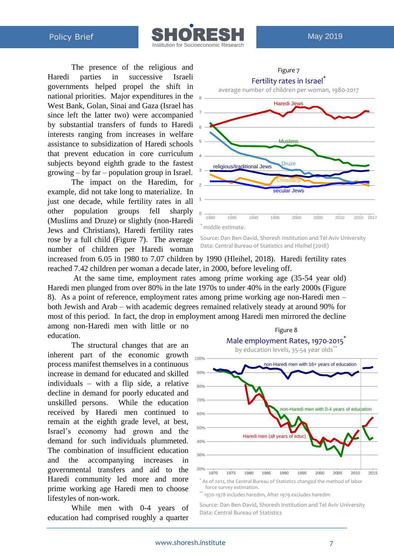

The presence of the religious and Haredi parties in successive Israeli governments helped propel the shift in national priorities. Major expenditures in the West Bank, Golan, Sinai and Gaza (Israel has since left the latter two) were accompanied by substantial transfers of funds to Haredi interests ranging from increases in welfare assistance to subsidization of Haredi schools that prevent education in core curriculum subjects beyond eighth grade to the fastest growing – by far – population group in Israel.

The impact on the Haredim, for example, did not take long to materialize. In just one decade, while fertility rates in all other population groups fell sharply (Muslims and Druze) or slightly (non-Haredi Jews and Christians), Haredi fertility rates rose by a full child (Figure 7). The average number of children per Haredi woman



Figure 7

Source: Dan Ben-David, Shoresh Institution and Tel Aviv University Data: Central Bureau of Statistics and Hleihel (2018)

increased from 6.05 in 1980 to 7.07 children by 1990 (Hleihel, 2018). Haredi fertility rates reached 7.42 children per woman a decade later, in 2000, before leveling off.

At the same time, employment rates among prime working age (35-54 year old) Haredi men plunged from over 80% in the late 1970s to under 40% in the early 2000s (Figure 8). As a point of reference, employment rates among prime working age non-Haredi men – both Jewish and Arab – with academic degrees remained relatively steady at around 90% for most of this period. In fact, the drop in employment among Haredi men mirrored the decline among non-Haredi men with little or no Figure 8

education.

The structural changes that are an inherent part of the economic growth process manifest themselves in a continuous increase in demand for educated and skilled individuals – with a flip side, a relative decline in demand for poorly educated and unskilled persons. While the education received by Haredi men continued to remain at the eighth grade level, at best, Israel's economy had grown and the demand for such individuals plummeted. The combination of insufficient education and the accompanying increases in governmental transfers and aid to the Haredi community led more and more prime working age Haredi men to choose lifestyles of non-work.

While men with 0-4 years of education had comprised roughly a quarter



\*\* 1970-1978 includes haredim, After 1979 excludes haredim

Source: Dan Ben-David, Shoresh Institution and Tel Aviv University Data: Central Bureau of Statistics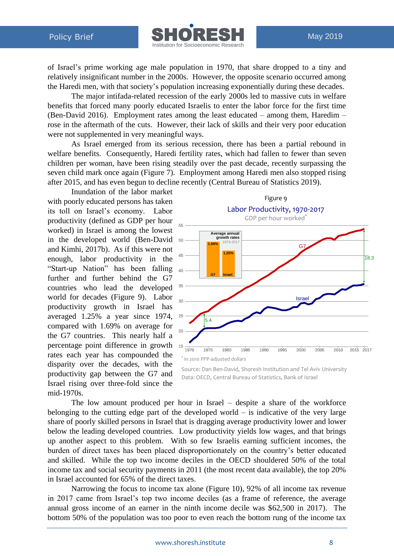

of Israel's prime working age male population in 1970, that share dropped to a tiny and relatively insignificant number in the 2000s. However, the opposite scenario occurred among the Haredi men, with that society's population increasing exponentially during these decades.

The major intifada-related recession of the early 2000s led to massive cuts in welfare benefits that forced many poorly educated Israelis to enter the labor force for the first time (Ben-David 2016). Employment rates among the least educated – among them, Haredim – rose in the aftermath of the cuts. However, their lack of skills and their very poor education were not supplemented in very meaningful ways.

As Israel emerged from its serious recession, there has been a partial rebound in welfare benefits. Consequently, Haredi fertility rates, which had fallen to fewer than seven children per woman, have been rising steadily over the past decade, recently surpassing the seven child mark once again (Figure 7). Employment among Haredi men also stopped rising after 2015, and has even begun to decline recently (Central Bureau of Statistics 2019).

Inundation of the labor market with poorly educated persons has taken its toll on Israel's economy. Labor productivity (defined as GDP per hour worked) in Israel is among the lowest in the developed world (Ben-David and Kimhi, 2017b). As if this were not enough, labor productivity in the "Start-up Nation" has been falling 40 further and further behind the G7 countries who lead the developed world for decades (Figure 9). Labor productivity growth in Israel has averaged 1.25% a year since 1974, compared with 1.69% on average for the G7 countries. This nearly half a percentage point difference in growth rates each year has compounded the disparity over the decades, with the productivity gap between the G7 and Israel rising over three-fold since the mid-1970s.



Source: Dan Ben-David, Shoresh Institution and Tel Aviv University Data: OECD, Central Bureau of Statistics, Bank of Israel

The low amount produced per hour in Israel – despite a share of the workforce belonging to the cutting edge part of the developed world  $-$  is indicative of the very large share of poorly skilled persons in Israel that is dragging average productivity lower and lower below the leading developed countries. Low productivity yields low wages, and that brings up another aspect to this problem. With so few Israelis earning sufficient incomes, the burden of direct taxes has been placed disproportionately on the country's better educated and skilled. While the top two income deciles in the OECD shouldered 50% of the total income tax and social security payments in 2011 (the most recent data available), the top 20% in Israel accounted for 65% of the direct taxes.

Narrowing the focus to income tax alone (Figure 10), 92% of all income tax revenue in 2017 came from Israel's top two income deciles (as a frame of reference, the average annual gross income of an earner in the ninth income decile was \$62,500 in 2017). The bottom 50% of the population was too poor to even reach the bottom rung of the income tax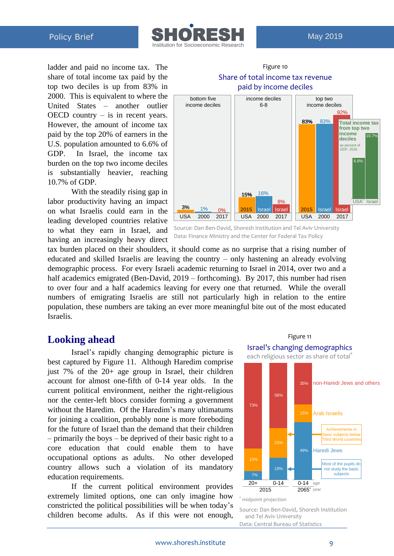

ladder and paid no income tax. The share of total income tax paid by the top two deciles is up from 83% in 2000. This is equivalent to where the United States – another outlier OECD country – is in recent years. However, the amount of income tax paid by the top 20% of earners in the U.S. population amounted to 6.6% of GDP. In Israel, the income tax burden on the top two income deciles is substantially heavier, reaching 10.7% of GDP.

With the steadily rising gap in labor productivity having an impact on what Israelis could earn in the leading developed countries relative to what they earn in Israel, and having an increasingly heavy direct



Figure 10

Source: Dan Ben-David, Shoresh Institution and Tel Aviv University Data: Finance Ministry and the Center for Federal Tax Policy

tax burden placed on their shoulders, it should come as no surprise that a rising number of educated and skilled Israelis are leaving the country – only hastening an already evolving demographic process. For every Israeli academic returning to Israel in 2014, over two and a half academics emigrated (Ben-David, 2019 – forthcoming). By 2017, this number had risen to over four and a half academics leaving for every one that returned. While the overall numbers of emigrating Israelis are still not particularly high in relation to the entire population, these numbers are taking an ever more meaningful bite out of the most educated Israelis.

## **Looking ahead**

Israel's rapidly changing demographic picture is best captured by Figure 11. Although Haredim comprise just 7% of the 20+ age group in Israel, their children account for almost one-fifth of 0-14 year olds. In the current political environment, neither the right-religious nor the center-left blocs consider forming a government without the Haredim. Of the Haredim's many ultimatums for joining a coalition, probably none is more foreboding for the future of Israel than the demand that their children – primarily the boys – be deprived of their basic right to a core education that could enable them to have occupational options as adults. No other developed country allows such a violation of its mandatory education requirements.

If the current political environment provides extremely limited options, one can only imagine how constricted the political possibilities will be when today's children become adults. As if this were not enough,



Figure 11

Source: Dan Ben-David, Shoresh Institution and Tel Aviv University Data: Central Bureau of Statistics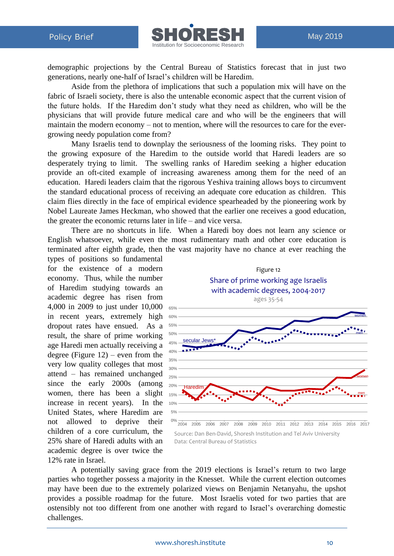

demographic projections by the Central Bureau of Statistics forecast that in just two generations, nearly one-half of Israel's children will be Haredim.

Aside from the plethora of implications that such a population mix will have on the fabric of Israeli society, there is also the untenable economic aspect that the current vision of the future holds. If the Haredim don't study what they need as children, who will be the physicians that will provide future medical care and who will be the engineers that will maintain the modern economy – not to mention, where will the resources to care for the evergrowing needy population come from?

Many Israelis tend to downplay the seriousness of the looming risks. They point to the growing exposure of the Haredim to the outside world that Haredi leaders are so desperately trying to limit. The swelling ranks of Haredim seeking a higher education provide an oft-cited example of increasing awareness among them for the need of an education. Haredi leaders claim that the rigorous Yeshiva training allows boys to circumvent the standard educational process of receiving an adequate core education as children. This claim flies directly in the face of empirical evidence spearheaded by the pioneering work by Nobel Laureate James Heckman, who showed that the earlier one receives a good education, the greater the economic returns later in life – and vice versa.

There are no shortcuts in life. When a Haredi boy does not learn any science or English whatsoever, while even the most rudimentary math and other core education is terminated after eighth grade, then the vast majority have no chance at ever reaching the

types of positions so fundamental for the existence of a modern economy. Thus, while the number of Haredim studying towards an academic degree has risen from 4,000 in 2009 to just under 10,000 65% in recent years, extremely high dropout rates have ensued. As a result, the share of prime working age Haredi men actually receiving a degree (Figure  $12$ ) – even from the very low quality colleges that most attend – has remained unchanged since the early 2000s (among women, there has been a slight increase in recent years). In the United States, where Haredim are not allowed to deprive their children of a core curriculum, the 25% share of Haredi adults with an academic degree is over twice the 12% rate in Israel.



Data: Central Bureau of Statistics

A potentially saving grace from the 2019 elections is Israel's return to two large parties who together possess a majority in the Knesset. While the current election outcomes may have been due to the extremely polarized views on Benjamin Netanyahu, the upshot provides a possible roadmap for the future. Most Israelis voted for two parties that are ostensibly not too different from one another with regard to Israel's overarching domestic challenges.